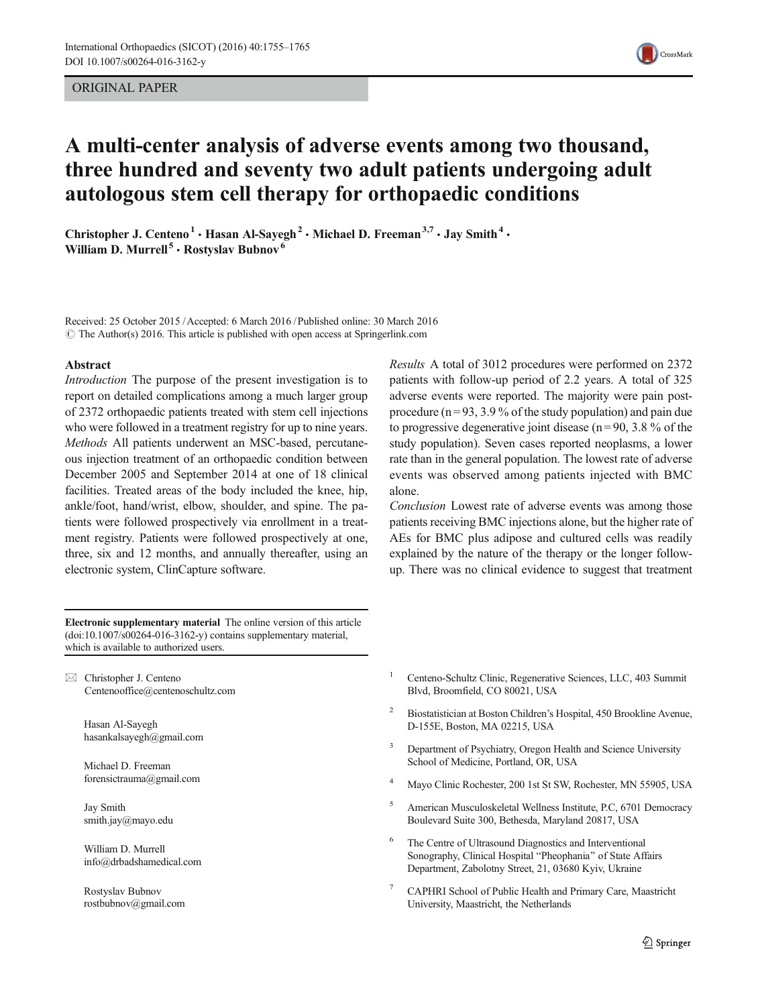ORIGINAL PAPER



# A multi-center analysis of adverse events among two thousand, three hundred and seventy two adult patients undergoing adult autologous stem cell therapy for orthopaedic conditions

Christopher J. Centeno<sup>1</sup> · Hasan Al-Sayegh<sup>2</sup> · Michael D. Freeman<sup>3,7</sup> · Jay Smith<sup>4</sup> · William D. Murrell<sup>5</sup> · Rostyslav Bubnov<sup>6</sup>

Received: 25 October 2015 /Accepted: 6 March 2016 /Published online: 30 March 2016  $\odot$  The Author(s) 2016. This article is published with open access at Springerlink.com

#### Abstract

Introduction The purpose of the present investigation is to report on detailed complications among a much larger group of 2372 orthopaedic patients treated with stem cell injections who were followed in a treatment registry for up to nine years. Methods All patients underwent an MSC-based, percutaneous injection treatment of an orthopaedic condition between December 2005 and September 2014 at one of 18 clinical facilities. Treated areas of the body included the knee, hip, ankle/foot, hand/wrist, elbow, shoulder, and spine. The patients were followed prospectively via enrollment in a treatment registry. Patients were followed prospectively at one, three, six and 12 months, and annually thereafter, using an electronic system, ClinCapture software.

Results A total of 3012 procedures were performed on 2372 patients with follow-up period of 2.2 years. A total of 325 adverse events were reported. The majority were pain postprocedure ( $n = 93, 3.9\%$  of the study population) and pain due to progressive degenerative joint disease ( $n = 90$ , 3.8 % of the study population). Seven cases reported neoplasms, a lower rate than in the general population. The lowest rate of adverse events was observed among patients injected with BMC alone.

Conclusion Lowest rate of adverse events was among those patients receiving BMC injections alone, but the higher rate of AEs for BMC plus adipose and cultured cells was readily explained by the nature of the therapy or the longer followup. There was no clinical evidence to suggest that treatment

Electronic supplementary material The online version of this article (doi[:10.1007/s00264-016-3162-y](http://dx.doi.org/10.1007/s00264-016-3162-y)) contains supplementary material, which is available to authorized users.

 $\boxtimes$  Christopher J. Centeno Centenooffice@centenoschultz.com

> Hasan Al-Sayegh hasankalsayegh@gmail.com

Michael D. Freeman forensictrauma@gmail.com

Jay Smith smith.jay@mayo.edu

William D. Murrell info@drbadshamedical.com

Rostyslav Bubnov rostbubnov@gmail.com

- <sup>1</sup> Centeno-Schultz Clinic, Regenerative Sciences, LLC, 403 Summit Blvd, Broomfield, CO 80021, USA
- <sup>2</sup> Biostatistician at Boston Children's Hospital, 450 Brookline Avenue, D-155E, Boston, MA 02215, USA
- <sup>3</sup> Department of Psychiatry, Oregon Health and Science University School of Medicine, Portland, OR, USA
- <sup>4</sup> Mayo Clinic Rochester, 200 1st St SW, Rochester, MN 55905, USA
- <sup>5</sup> American Musculoskeletal Wellness Institute, P.C, 6701 Democracy Boulevard Suite 300, Bethesda, Maryland 20817, USA
- 6 The Centre of Ultrasound Diagnostics and Interventional Sonography, Clinical Hospital "Pheophania" of State Affairs Department, Zabolotny Street, 21, 03680 Kyiv, Ukraine
- <sup>7</sup> CAPHRI School of Public Health and Primary Care, Maastricht University, Maastricht, the Netherlands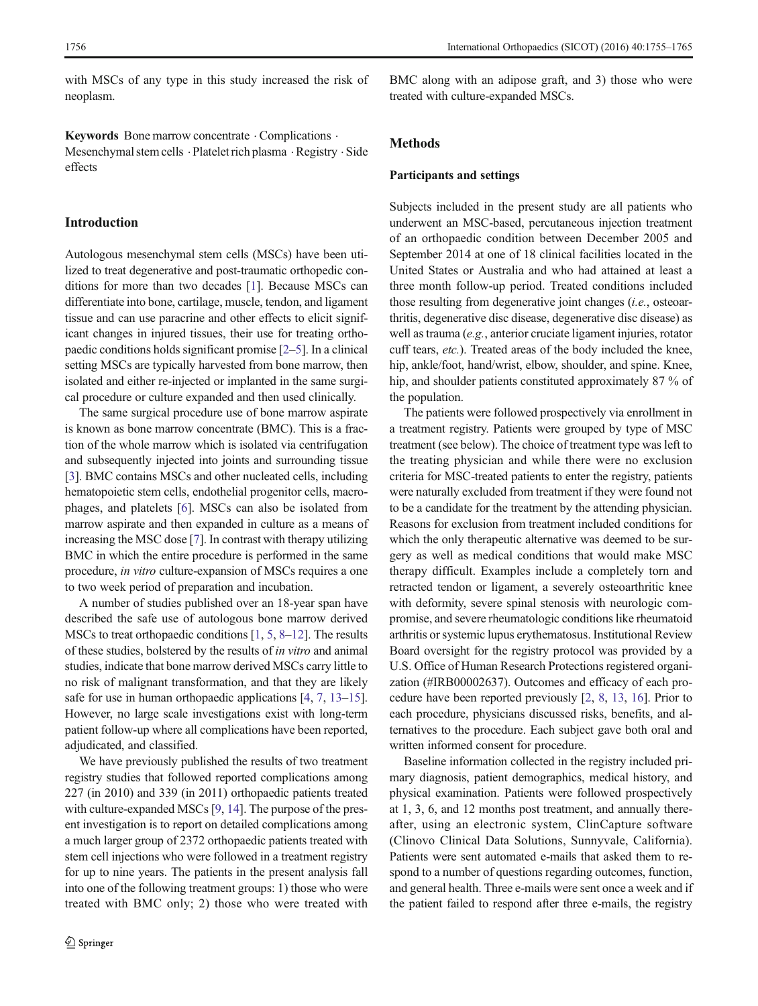with MSCs of any type in this study increased the risk of neoplasm.

Keywords Bone marrow concentrate . Complications . Mesenchymal stem cells · Platelet rich plasma · Registry · Side effects

# Introduction

Autologous mesenchymal stem cells (MSCs) have been utilized to treat degenerative and post-traumatic orthopedic conditions for more than two decades [[1\]](#page-9-0). Because MSCs can differentiate into bone, cartilage, muscle, tendon, and ligament tissue and can use paracrine and other effects to elicit significant changes in injured tissues, their use for treating orthopaedic conditions holds significant promise [\[2](#page-10-0)–[5](#page-10-0)]. In a clinical setting MSCs are typically harvested from bone marrow, then isolated and either re-injected or implanted in the same surgical procedure or culture expanded and then used clinically.

The same surgical procedure use of bone marrow aspirate is known as bone marrow concentrate (BMC). This is a fraction of the whole marrow which is isolated via centrifugation and subsequently injected into joints and surrounding tissue [\[3\]](#page-10-0). BMC contains MSCs and other nucleated cells, including hematopoietic stem cells, endothelial progenitor cells, macrophages, and platelets [\[6](#page-10-0)]. MSCs can also be isolated from marrow aspirate and then expanded in culture as a means of increasing the MSC dose [\[7\]](#page-10-0). In contrast with therapy utilizing BMC in which the entire procedure is performed in the same procedure, in vitro culture-expansion of MSCs requires a one to two week period of preparation and incubation.

A number of studies published over an 18-year span have described the safe use of autologous bone marrow derived MSCs to treat orthopaedic conditions [\[1](#page-9-0), [5,](#page-10-0) [8](#page-10-0)–[12\]](#page-10-0). The results of these studies, bolstered by the results of in vitro and animal studies, indicate that bone marrow derived MSCs carry little to no risk of malignant transformation, and that they are likely safe for use in human orthopaedic applications [\[4,](#page-10-0) [7,](#page-10-0) [13](#page-10-0)–[15\]](#page-10-0). However, no large scale investigations exist with long-term patient follow-up where all complications have been reported, adjudicated, and classified.

We have previously published the results of two treatment registry studies that followed reported complications among 227 (in 2010) and 339 (in 2011) orthopaedic patients treated with culture-expanded MSCs [\[9,](#page-10-0) [14](#page-10-0)]. The purpose of the present investigation is to report on detailed complications among a much larger group of 2372 orthopaedic patients treated with stem cell injections who were followed in a treatment registry for up to nine years. The patients in the present analysis fall into one of the following treatment groups: 1) those who were treated with BMC only; 2) those who were treated with BMC along with an adipose graft, and 3) those who were treated with culture-expanded MSCs.

## Methods

## Participants and settings

Subjects included in the present study are all patients who underwent an MSC-based, percutaneous injection treatment of an orthopaedic condition between December 2005 and September 2014 at one of 18 clinical facilities located in the United States or Australia and who had attained at least a three month follow-up period. Treated conditions included those resulting from degenerative joint changes (i.e., osteoarthritis, degenerative disc disease, degenerative disc disease) as well as trauma (e.g., anterior cruciate ligament injuries, rotator cuff tears, etc.). Treated areas of the body included the knee, hip, ankle/foot, hand/wrist, elbow, shoulder, and spine. Knee, hip, and shoulder patients constituted approximately 87 % of the population.

The patients were followed prospectively via enrollment in a treatment registry. Patients were grouped by type of MSC treatment (see below). The choice of treatment type was left to the treating physician and while there were no exclusion criteria for MSC-treated patients to enter the registry, patients were naturally excluded from treatment if they were found not to be a candidate for the treatment by the attending physician. Reasons for exclusion from treatment included conditions for which the only therapeutic alternative was deemed to be surgery as well as medical conditions that would make MSC therapy difficult. Examples include a completely torn and retracted tendon or ligament, a severely osteoarthritic knee with deformity, severe spinal stenosis with neurologic compromise, and severe rheumatologic conditions like rheumatoid arthritis or systemic lupus erythematosus. Institutional Review Board oversight for the registry protocol was provided by a U.S. Office of Human Research Protections registered organization (#IRB00002637). Outcomes and efficacy of each procedure have been reported previously [\[2,](#page-10-0) [8](#page-10-0), [13,](#page-10-0) [16\]](#page-10-0). Prior to each procedure, physicians discussed risks, benefits, and alternatives to the procedure. Each subject gave both oral and written informed consent for procedure.

Baseline information collected in the registry included primary diagnosis, patient demographics, medical history, and physical examination. Patients were followed prospectively at 1, 3, 6, and 12 months post treatment, and annually thereafter, using an electronic system, ClinCapture software (Clinovo Clinical Data Solutions, Sunnyvale, California). Patients were sent automated e-mails that asked them to respond to a number of questions regarding outcomes, function, and general health. Three e-mails were sent once a week and if the patient failed to respond after three e-mails, the registry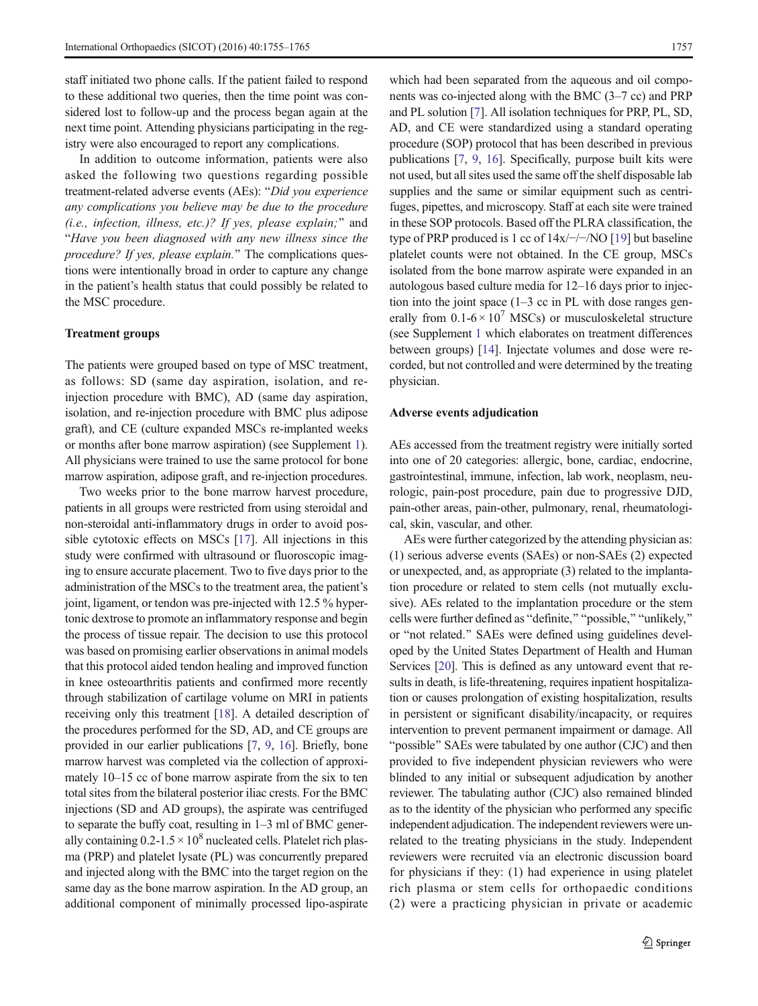staff initiated two phone calls. If the patient failed to respond to these additional two queries, then the time point was considered lost to follow-up and the process began again at the next time point. Attending physicians participating in the registry were also encouraged to report any complications.

In addition to outcome information, patients were also asked the following two questions regarding possible treatment-related adverse events (AEs): "Did you experience any complications you believe may be due to the procedure (i.e., infection, illness, etc.)? If yes, please explain;" and "Have you been diagnosed with any new illness since the procedure? If yes, please explain." The complications questions were intentionally broad in order to capture any change in the patient's health status that could possibly be related to the MSC procedure.

## Treatment groups

The patients were grouped based on type of MSC treatment, as follows: SD (same day aspiration, isolation, and reinjection procedure with BMC), AD (same day aspiration, isolation, and re-injection procedure with BMC plus adipose graft), and CE (culture expanded MSCs re-implanted weeks or months after bone marrow aspiration) (see Supplement 1). All physicians were trained to use the same protocol for bone marrow aspiration, adipose graft, and re-injection procedures.

Two weeks prior to the bone marrow harvest procedure, patients in all groups were restricted from using steroidal and non-steroidal anti-inflammatory drugs in order to avoid possible cytotoxic effects on MSCs [\[17](#page-10-0)]. All injections in this study were confirmed with ultrasound or fluoroscopic imaging to ensure accurate placement. Two to five days prior to the administration of the MSCs to the treatment area, the patient's joint, ligament, or tendon was pre-injected with 12.5 % hypertonic dextrose to promote an inflammatory response and begin the process of tissue repair. The decision to use this protocol was based on promising earlier observations in animal models that this protocol aided tendon healing and improved function in knee osteoarthritis patients and confirmed more recently through stabilization of cartilage volume on MRI in patients receiving only this treatment [\[18](#page-10-0)]. A detailed description of the procedures performed for the SD, AD, and CE groups are provided in our earlier publications [[7](#page-10-0), [9](#page-10-0), [16\]](#page-10-0). Briefly, bone marrow harvest was completed via the collection of approximately 10–15 cc of bone marrow aspirate from the six to ten total sites from the bilateral posterior iliac crests. For the BMC injections (SD and AD groups), the aspirate was centrifuged to separate the buffy coat, resulting in 1–3 ml of BMC generally containing  $0.2 - 1.5 \times 10^8$  nucleated cells. Platelet rich plasma (PRP) and platelet lysate (PL) was concurrently prepared and injected along with the BMC into the target region on the same day as the bone marrow aspiration. In the AD group, an additional component of minimally processed lipo-aspirate

which had been separated from the aqueous and oil components was co-injected along with the BMC (3–7 cc) and PRP and PL solution [[7\]](#page-10-0). All isolation techniques for PRP, PL, SD, AD, and CE were standardized using a standard operating procedure (SOP) protocol that has been described in previous publications [\[7,](#page-10-0) [9,](#page-10-0) [16\]](#page-10-0). Specifically, purpose built kits were not used, but all sites used the same off the shelf disposable lab supplies and the same or similar equipment such as centrifuges, pipettes, and microscopy. Staff at each site were trained in these SOP protocols. Based off the PLRA classification, the type of PRP produced is 1 cc of 14x/−/−/NO [[19\]](#page-10-0) but baseline platelet counts were not obtained. In the CE group, MSCs isolated from the bone marrow aspirate were expanded in an autologous based culture media for 12–16 days prior to injection into the joint space (1–3 cc in PL with dose ranges generally from  $0.1-6 \times 10^7$  MSCs) or musculoskeletal structure (see Supplement 1 which elaborates on treatment differences between groups) [[14\]](#page-10-0). Injectate volumes and dose were recorded, but not controlled and were determined by the treating physician.

#### Adverse events adjudication

AEs accessed from the treatment registry were initially sorted into one of 20 categories: allergic, bone, cardiac, endocrine, gastrointestinal, immune, infection, lab work, neoplasm, neurologic, pain-post procedure, pain due to progressive DJD, pain-other areas, pain-other, pulmonary, renal, rheumatological, skin, vascular, and other.

AEs were further categorized by the attending physician as: (1) serious adverse events (SAEs) or non-SAEs (2) expected or unexpected, and, as appropriate (3) related to the implantation procedure or related to stem cells (not mutually exclusive). AEs related to the implantation procedure or the stem cells were further defined as "definite," "possible," "unlikely," or "not related." SAEs were defined using guidelines developed by the United States Department of Health and Human Services [[20](#page-10-0)]. This is defined as any untoward event that results in death, is life-threatening, requires inpatient hospitalization or causes prolongation of existing hospitalization, results in persistent or significant disability/incapacity, or requires intervention to prevent permanent impairment or damage. All "possible" SAEs were tabulated by one author (CJC) and then provided to five independent physician reviewers who were blinded to any initial or subsequent adjudication by another reviewer. The tabulating author (CJC) also remained blinded as to the identity of the physician who performed any specific independent adjudication. The independent reviewers were unrelated to the treating physicians in the study. Independent reviewers were recruited via an electronic discussion board for physicians if they: (1) had experience in using platelet rich plasma or stem cells for orthopaedic conditions (2) were a practicing physician in private or academic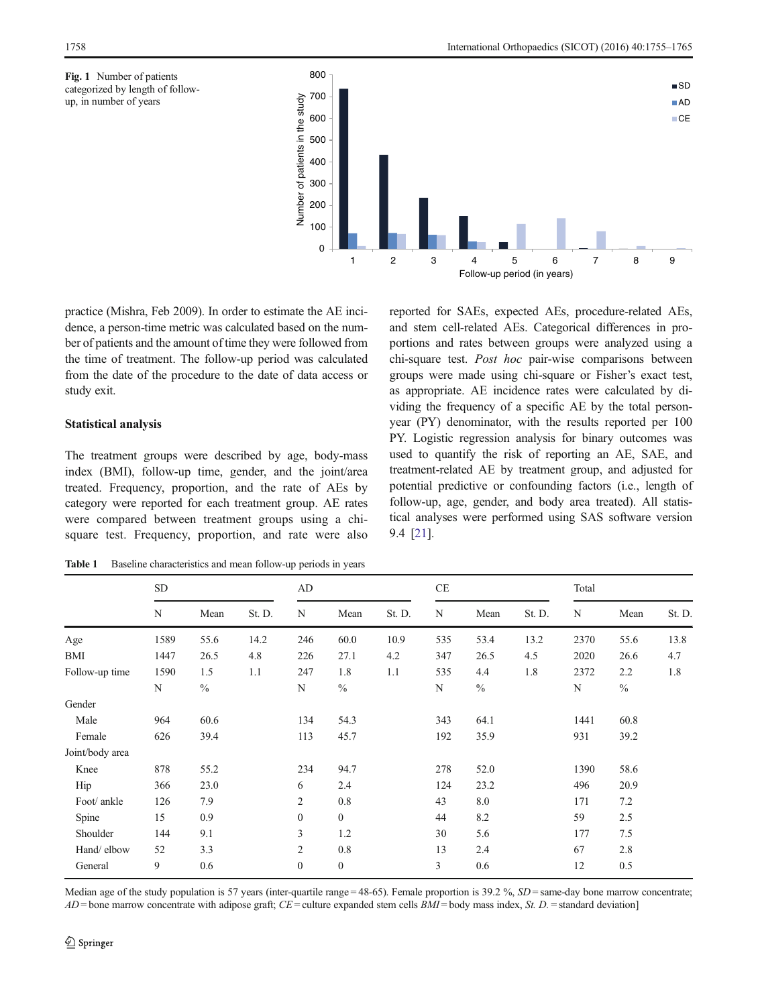<span id="page-3-0"></span>



practice (Mishra, Feb 2009). In order to estimate the AE incidence, a person-time metric was calculated based on the number of patients and the amount of time they were followed from the time of treatment. The follow-up period was calculated from the date of the procedure to the date of data access or study exit.

## Statistical analysis

The treatment groups were described by age, body-mass index (BMI), follow-up time, gender, and the joint/area treated. Frequency, proportion, and the rate of AEs by category were reported for each treatment group. AE rates were compared between treatment groups using a chisquare test. Frequency, proportion, and rate were also

reported for SAEs, expected AEs, procedure-related AEs, and stem cell-related AEs. Categorical differences in proportions and rates between groups were analyzed using a chi-square test. Post hoc pair-wise comparisons between groups were made using chi-square or Fisher's exact test, as appropriate. AE incidence rates were calculated by dividing the frequency of a specific AE by the total personyear (PY) denominator, with the results reported per 100 PY. Logistic regression analysis for binary outcomes was used to quantify the risk of reporting an AE, SAE, and treatment-related AE by treatment group, and adjusted for potential predictive or confounding factors (i.e., length of follow-up, age, gender, and body area treated). All statistical analyses were performed using SAS software version 9.4 [\[21\]](#page-10-0).

Table 1 Baseline characteristics and mean follow-up periods in years

|                 | <b>SD</b> |      |        | AD             |                |        | CE             |      |        | Total       |      |        |  |
|-----------------|-----------|------|--------|----------------|----------------|--------|----------------|------|--------|-------------|------|--------|--|
|                 | N         | Mean | St. D. | N              | Mean           | St. D. | N              | Mean | St. D. | N           | Mean | St. D. |  |
| Age             | 1589      | 55.6 | 14.2   | 246            | 60.0           | 10.9   | 535            | 53.4 | 13.2   | 2370        | 55.6 | 13.8   |  |
| BMI             | 1447      | 26.5 | 4.8    | 226            | 27.1           | 4.2    | 347            | 26.5 | 4.5    | 2020        | 26.6 | 4.7    |  |
| Follow-up time  | 1590      | 1.5  | 1.1    | 247            | 1.8            | 1.1    | 535            | 4.4  | 1.8    | 2372        | 2.2  | 1.8    |  |
|                 | N         | $\%$ |        | N              | $\%$           |        | N              | $\%$ |        | $\mathbf N$ | $\%$ |        |  |
| Gender          |           |      |        |                |                |        |                |      |        |             |      |        |  |
| Male            | 964       | 60.6 |        | 134            | 54.3           |        | 343            | 64.1 |        | 1441        | 60.8 |        |  |
| Female          | 626       | 39.4 |        | 113            | 45.7           |        | 192            | 35.9 |        | 931         | 39.2 |        |  |
| Joint/body area |           |      |        |                |                |        |                |      |        |             |      |        |  |
| Knee            | 878       | 55.2 |        | 234            | 94.7           |        | 278            | 52.0 |        | 1390        | 58.6 |        |  |
| Hip             | 366       | 23.0 |        | 6              | 2.4            |        | 124            | 23.2 |        | 496         | 20.9 |        |  |
| Foot/ ankle     | 126       | 7.9  |        | $\overline{2}$ | 0.8            |        | 43             | 8.0  |        | 171         | 7.2  |        |  |
| Spine           | 15        | 0.9  |        | $\overline{0}$ | $\overline{0}$ |        | 44             | 8.2  |        | 59          | 2.5  |        |  |
| Shoulder        | 144       | 9.1  |        | 3              | 1.2            |        | 30             | 5.6  |        | 177         | 7.5  |        |  |
| Hand/ elbow     | 52        | 3.3  |        | $\overline{2}$ | 0.8            |        | 13             | 2.4  |        | 67          | 2.8  |        |  |
| General         | 9         | 0.6  |        | $\mathbf{0}$   | $\mathbf{0}$   |        | $\mathfrak{Z}$ | 0.6  |        | 12          | 0.5  |        |  |

Median age of the study population is 57 years (inter-quartile range = 48-65). Female proportion is 39.2 %,  $SD$  = same-day bone marrow concentrate;  $AD =$ bone marrow concentrate with adipose graft;  $CE =$  culture expanded stem cells  $BMI =$ body mass index, St. D. = standard deviation]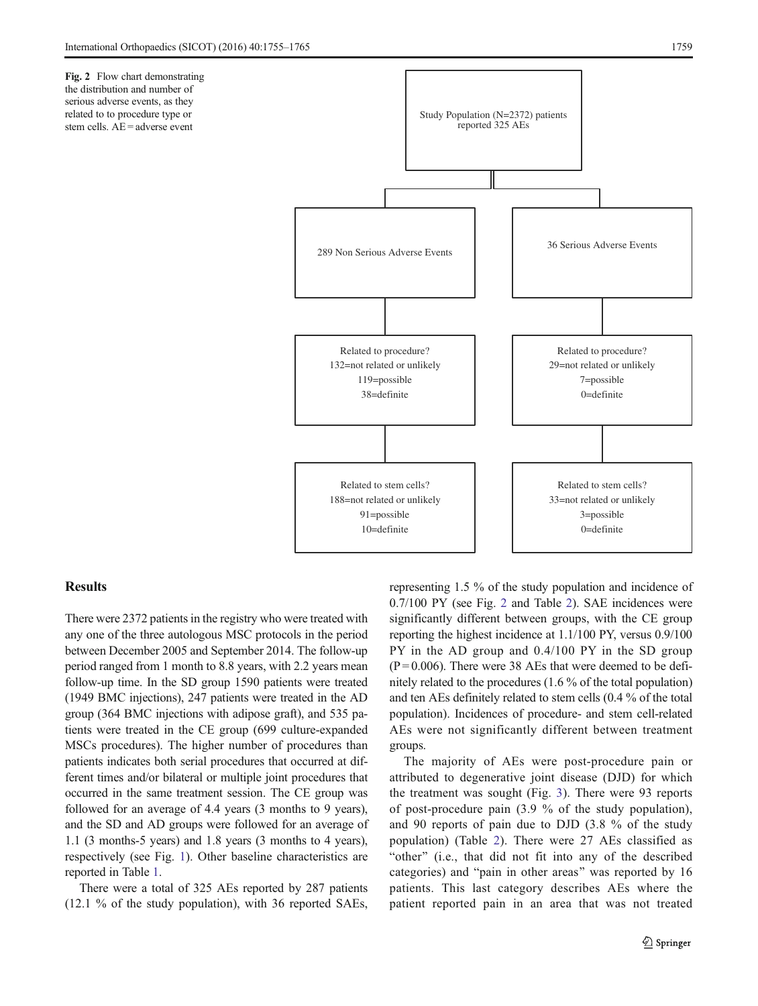Fig. 2 Flow chart demonstrating the distribution and number of serious adverse events, as they related to to procedure type or stem cells. AE = adverse event



## **Results**

There were 2372 patients in the registry who were treated with any one of the three autologous MSC protocols in the period between December 2005 and September 2014. The follow-up period ranged from 1 month to 8.8 years, with 2.2 years mean follow-up time. In the SD group 1590 patients were treated (1949 BMC injections), 247 patients were treated in the AD group (364 BMC injections with adipose graft), and 535 patients were treated in the CE group (699 culture-expanded MSCs procedures). The higher number of procedures than patients indicates both serial procedures that occurred at different times and/or bilateral or multiple joint procedures that occurred in the same treatment session. The CE group was followed for an average of 4.4 years (3 months to 9 years), and the SD and AD groups were followed for an average of 1.1 (3 months-5 years) and 1.8 years (3 months to 4 years), respectively (see Fig. [1](#page-3-0)). Other baseline characteristics are reported in Table [1.](#page-3-0)

There were a total of 325 AEs reported by 287 patients (12.1 % of the study population), with 36 reported SAEs,

representing 1.5 % of the study population and incidence of 0.7/100 PY (see Fig. 2 and Table [2\)](#page-5-0). SAE incidences were significantly different between groups, with the CE group reporting the highest incidence at 1.1/100 PY, versus 0.9/100 PY in the AD group and 0.4/100 PY in the SD group  $(P=0.006)$ . There were 38 AEs that were deemed to be definitely related to the procedures (1.6 % of the total population) and ten AEs definitely related to stem cells (0.4 % of the total population). Incidences of procedure- and stem cell-related AEs were not significantly different between treatment groups.

The majority of AEs were post-procedure pain or attributed to degenerative joint disease (DJD) for which the treatment was sought (Fig. [3](#page-6-0)). There were 93 reports of post-procedure pain (3.9 % of the study population), and 90 reports of pain due to DJD (3.8 % of the study population) (Table [2](#page-5-0)). There were 27 AEs classified as "other" (i.e., that did not fit into any of the described categories) and "pain in other areas" was reported by 16 patients. This last category describes AEs where the patient reported pain in an area that was not treated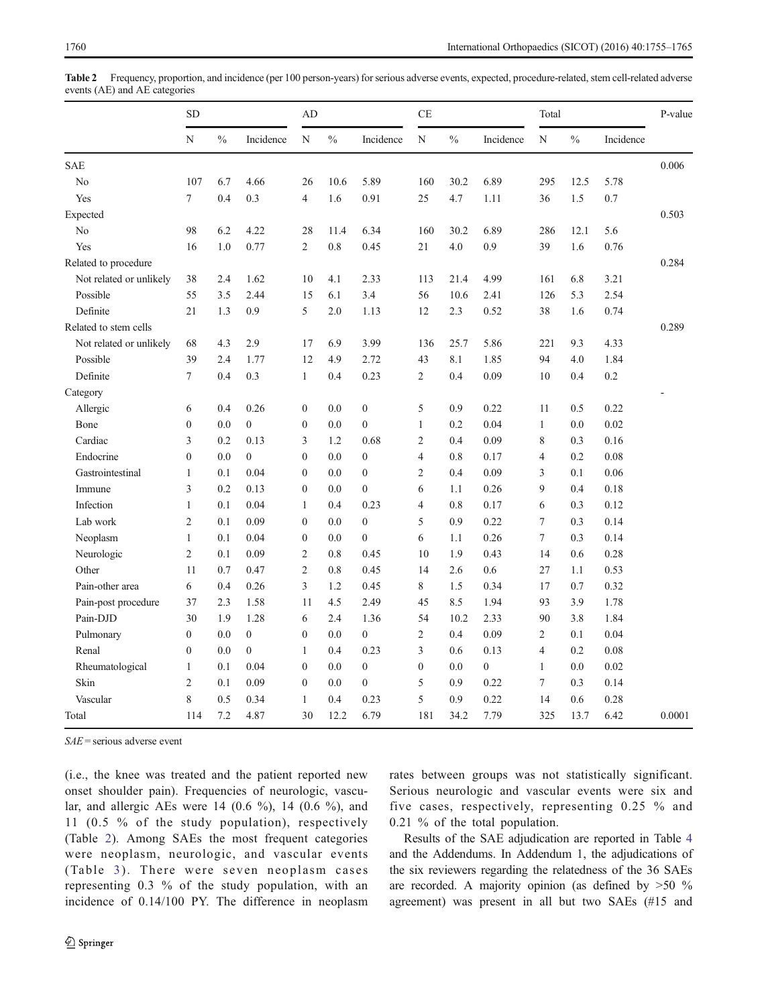<span id="page-5-0"></span>

| Table 2 Frequency, proportion, and incidence (per 100 person-years) for serious adverse events, expected, procedure-related, stem cell-related adverse |
|--------------------------------------------------------------------------------------------------------------------------------------------------------|
| events (AE) and AE categories                                                                                                                          |

|                         | <b>SD</b>        |               | AD               |                          |               | CE               |                  |               | Total            |                |               | P-value   |        |
|-------------------------|------------------|---------------|------------------|--------------------------|---------------|------------------|------------------|---------------|------------------|----------------|---------------|-----------|--------|
|                         | ${\bf N}$        | $\frac{0}{0}$ | Incidence        | N                        | $\frac{0}{0}$ | Incidence        | $\mathbf N$      | $\frac{0}{0}$ | Incidence        | $\mathbf N$    | $\frac{0}{0}$ | Incidence |        |
| <b>SAE</b>              |                  |               |                  |                          |               |                  |                  |               |                  |                |               |           | 0.006  |
| No                      | 107              | 6.7           | 4.66             | 26                       | 10.6          | 5.89             | 160              | 30.2          | 6.89             | 295            | 12.5          | 5.78      |        |
| Yes                     | $\overline{7}$   | 0.4           | 0.3              | $\overline{\mathcal{L}}$ | 1.6           | 0.91             | 25               | 4.7           | 1.11             | 36             | 1.5           | 0.7       |        |
| Expected                |                  |               |                  |                          |               |                  |                  |               |                  |                |               |           | 0.503  |
| No                      | 98               | 6.2           | 4.22             | 28                       | 11.4          | 6.34             | 160              | 30.2          | 6.89             | 286            | 12.1          | 5.6       |        |
| Yes                     | 16               | 1.0           | 0.77             | 2                        | 0.8           | 0.45             | 21               | 4.0           | 0.9              | 39             | 1.6           | 0.76      |        |
| Related to procedure    |                  |               |                  |                          |               |                  |                  |               |                  |                |               |           | 0.284  |
| Not related or unlikely | 38               | 2.4           | 1.62             | 10                       | 4.1           | 2.33             | 113              | 21.4          | 4.99             | 161            | 6.8           | 3.21      |        |
| Possible                | 55               | 3.5           | 2.44             | 15                       | 6.1           | 3.4              | 56               | 10.6          | 2.41             | 126            | 5.3           | 2.54      |        |
| Definite                | 21               | 1.3           | 0.9              | 5                        | 2.0           | 1.13             | 12               | 2.3           | 0.52             | 38             | 1.6           | 0.74      |        |
| Related to stem cells   |                  |               |                  |                          |               |                  |                  |               |                  |                |               |           | 0.289  |
| Not related or unlikely | 68               | 4.3           | 2.9              | 17                       | 6.9           | 3.99             | 136              | 25.7          | 5.86             | 221            | 9.3           | 4.33      |        |
| Possible                | 39               | 2.4           | 1.77             | 12                       | 4.9           | 2.72             | 43               | $8.1\,$       | 1.85             | 94             | 4.0           | 1.84      |        |
| Definite                | 7                | 0.4           | 0.3              | $\mathbf{1}$             | 0.4           | 0.23             | $\overline{c}$   | 0.4           | 0.09             | 10             | 0.4           | 0.2       |        |
| Category                |                  |               |                  |                          |               |                  |                  |               |                  |                |               |           |        |
| Allergic                | 6                | 0.4           | 0.26             | $\boldsymbol{0}$         | 0.0           | $\boldsymbol{0}$ | 5                | 0.9           | 0.22             | 11             | 0.5           | 0.22      |        |
| Bone                    | $\boldsymbol{0}$ | 0.0           | $\boldsymbol{0}$ | $\boldsymbol{0}$         | 0.0           | $\boldsymbol{0}$ | $\mathbf{1}$     | 0.2           | 0.04             | $\mathbf{1}$   | 0.0           | 0.02      |        |
| Cardiac                 | 3                | 0.2           | 0.13             | 3                        | 1.2           | 0.68             | $\overline{c}$   | 0.4           | 0.09             | 8              | 0.3           | 0.16      |        |
| Endocrine               | $\mathbf{0}$     | 0.0           | $\overline{0}$   | $\boldsymbol{0}$         | 0.0           | $\boldsymbol{0}$ | $\overline{4}$   | 0.8           | 0.17             | $\overline{4}$ | 0.2           | 0.08      |        |
| Gastrointestinal        | 1                | 0.1           | 0.04             | $\boldsymbol{0}$         | 0.0           | $\boldsymbol{0}$ | $\overline{c}$   | 0.4           | 0.09             | 3              | 0.1           | 0.06      |        |
| Immune                  | 3                | 0.2           | 0.13             | $\boldsymbol{0}$         | 0.0           | $\mathbf{0}$     | 6                | 1.1           | 0.26             | 9              | 0.4           | 0.18      |        |
| Infection               | $\mathbf{1}$     | 0.1           | 0.04             | $\mathbf{1}$             | 0.4           | 0.23             | 4                | 0.8           | 0.17             | 6              | 0.3           | 0.12      |        |
| Lab work                | $\overline{c}$   | 0.1           | 0.09             | $\boldsymbol{0}$         | 0.0           | $\mathbf{0}$     | 5                | 0.9           | 0.22             | 7              | 0.3           | 0.14      |        |
| Neoplasm                | $\mathbf{1}$     | 0.1           | 0.04             | $\boldsymbol{0}$         | 0.0           | $\mathbf{0}$     | 6                | 1.1           | 0.26             | 7              | 0.3           | 0.14      |        |
| Neurologic              | $\overline{c}$   | 0.1           | 0.09             | $\mathfrak{2}$           | 0.8           | 0.45             | 10               | 1.9           | 0.43             | 14             | 0.6           | 0.28      |        |
| Other                   | 11               | 0.7           | 0.47             | $\mathfrak{2}$           | 0.8           | 0.45             | 14               | 2.6           | 0.6              | 27             | 1.1           | 0.53      |        |
| Pain-other area         | 6                | 0.4           | 0.26             | 3                        | 1.2           | 0.45             | 8                | 1.5           | 0.34             | 17             | 0.7           | 0.32      |        |
| Pain-post procedure     | 37               | 2.3           | 1.58             | 11                       | 4.5           | 2.49             | 45               | 8.5           | 1.94             | 93             | 3.9           | 1.78      |        |
| Pain-DJD                | 30               | 1.9           | 1.28             | 6                        | 2.4           | 1.36             | 54               | 10.2          | 2.33             | 90             | 3.8           | 1.84      |        |
| Pulmonary               | $\boldsymbol{0}$ | 0.0           | $\boldsymbol{0}$ | $\boldsymbol{0}$         | 0.0           | $\boldsymbol{0}$ | $\overline{c}$   | 0.4           | 0.09             | 2              | 0.1           | 0.04      |        |
| Renal                   | $\overline{0}$   | 0.0           | $\boldsymbol{0}$ | $\mathbf{1}$             | 0.4           | 0.23             | 3                | 0.6           | 0.13             | 4              | 0.2           | 0.08      |        |
| Rheumatological         | $\mathbf{1}$     | 0.1           | 0.04             | $\boldsymbol{0}$         | 0.0           | $\boldsymbol{0}$ | $\boldsymbol{0}$ | 0.0           | $\boldsymbol{0}$ | $\mathbf{1}$   | 0.0           | 0.02      |        |
| Skin                    | $\overline{c}$   | 0.1           | 0.09             | $\boldsymbol{0}$         | 0.0           | $\boldsymbol{0}$ | 5                | 0.9           | 0.22             | $\tau$         | 0.3           | 0.14      |        |
| Vascular                | 8                | 0.5           | 0.34             | $\mathbf{1}$             | 0.4           | 0.23             | 5                | 0.9           | 0.22             | 14             | 0.6           | 0.28      |        |
| Total                   | 114              | 7.2           | 4.87             | 30                       | 12.2          | 6.79             | 181              | 34.2          | 7.79             | 325            | 13.7          | 6.42      | 0.0001 |

 $SAE$  = serious adverse event

(i.e., the knee was treated and the patient reported new onset shoulder pain). Frequencies of neurologic, vascular, and allergic AEs were 14 (0.6 %), 14 (0.6 %), and 11 (0.5 % of the study population), respectively (Table 2). Among SAEs the most frequent categories were neoplasm, neurologic, and vascular events (Table [3\)](#page-6-0). There were seven neoplasm cases representing 0.3 % of the study population, with an incidence of 0.14/100 PY. The difference in neoplasm rates between groups was not statistically significant. Serious neurologic and vascular events were six and five cases, respectively, representing 0.25 % and 0.21 % of the total population.

Results of the SAE adjudication are reported in Table [4](#page-7-0) and the Addendums. In Addendum 1, the adjudications of the six reviewers regarding the relatedness of the 36 SAEs are recorded. A majority opinion (as defined by >50 % agreement) was present in all but two SAEs (#15 and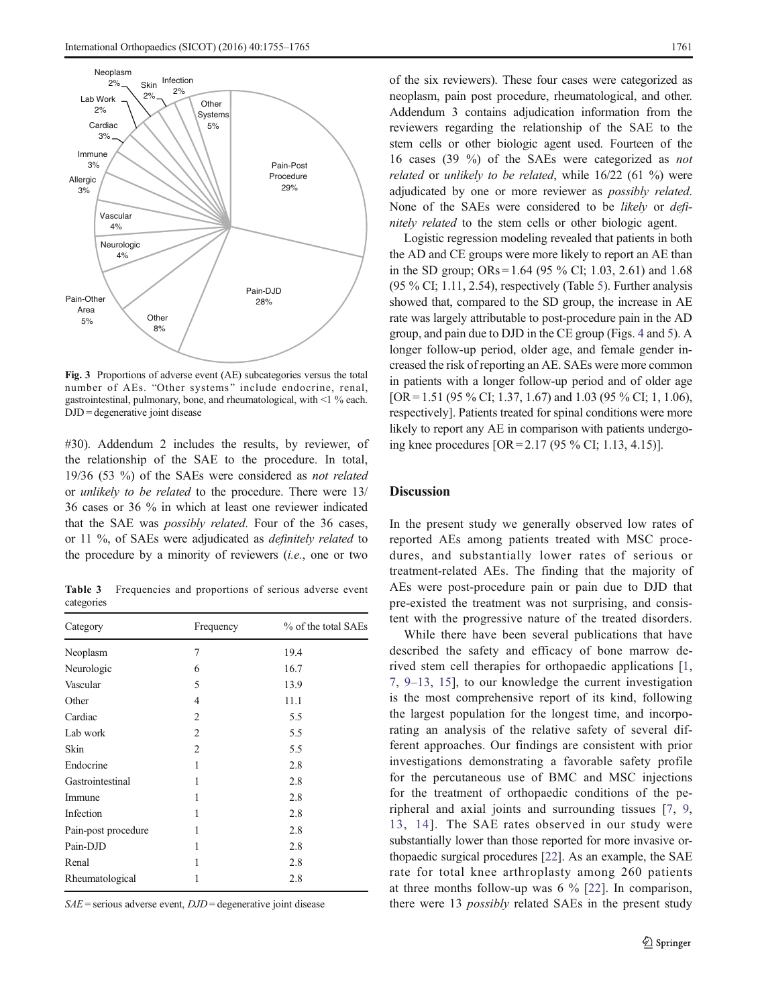<span id="page-6-0"></span>

Fig. 3 Proportions of adverse event (AE) subcategories versus the total number of AEs. "Other systems" include endocrine, renal, gastrointestinal, pulmonary, bone, and rheumatological, with <1 % each. DJD = degenerative joint disease

#30). Addendum 2 includes the results, by reviewer, of the relationship of the SAE to the procedure. In total, 19/36 (53 %) of the SAEs were considered as not related or unlikely to be related to the procedure. There were 13/ 36 cases or 36 % in which at least one reviewer indicated that the SAE was possibly related. Four of the 36 cases, or 11 %, of SAEs were adjudicated as definitely related to the procedure by a minority of reviewers  $(i.e.,$  one or two

Table 3 Frequencies and proportions of serious adverse event categories

| Category            | Frequency      | % of the total SAEs |
|---------------------|----------------|---------------------|
| Neoplasm            | 7              | 19.4                |
| Neurologic          | 6              | 16.7                |
| Vascular            | 5              | 13.9                |
| Other               | 4              | 11.1                |
| Cardiac             | 2              | 5.5                 |
| Lab work            | $\overline{2}$ | 5.5                 |
| Skin                | $\overline{2}$ | 5.5                 |
| Endocrine           | 1              | 2.8                 |
| Gastrointestinal    | 1              | 2.8                 |
| Immune              | 1              | 2.8                 |
| Infection           | 1              | 2.8                 |
| Pain-post procedure | 1              | 2.8                 |
| Pain-DJD            | 1              | 2.8                 |
| Renal               | 1              | 2.8                 |
| Rheumatological     | 1              | 2.8                 |
|                     |                |                     |

 $SAE$  = serious adverse event,  $DJD$  = degenerative joint disease

of the six reviewers). These four cases were categorized as neoplasm, pain post procedure, rheumatological, and other. Addendum 3 contains adjudication information from the reviewers regarding the relationship of the SAE to the stem cells or other biologic agent used. Fourteen of the 16 cases (39 %) of the SAEs were categorized as not related or unlikely to be related, while  $16/22$  (61 %) were adjudicated by one or more reviewer as possibly related. None of the SAEs were considered to be likely or definitely related to the stem cells or other biologic agent.

Logistic regression modeling revealed that patients in both the AD and CE groups were more likely to report an AE than in the SD group; ORs = 1.64 (95 % CI; 1.03, 2.61) and 1.68 (95 % CI; 1.11, 2.54), respectively (Table [5](#page-7-0)). Further analysis showed that, compared to the SD group, the increase in AE rate was largely attributable to post-procedure pain in the AD group, and pain due to DJD in the CE group (Figs. [4](#page-8-0) and [5](#page-8-0)). A longer follow-up period, older age, and female gender increased the risk of reporting an AE. SAEs were more common in patients with a longer follow-up period and of older age  $[OR = 1.51 (95 % CI; 1.37, 1.67)$  and 1.03 (95 % CI; 1, 1.06), respectively]. Patients treated for spinal conditions were more likely to report any AE in comparison with patients undergoing knee procedures [OR = 2.17 (95 % CI; 1.13, 4.15)].

## **Discussion**

In the present study we generally observed low rates of reported AEs among patients treated with MSC procedures, and substantially lower rates of serious or treatment-related AEs. The finding that the majority of AEs were post-procedure pain or pain due to DJD that pre-existed the treatment was not surprising, and consistent with the progressive nature of the treated disorders.

While there have been several publications that have described the safety and efficacy of bone marrow derived stem cell therapies for orthopaedic applications [[1,](#page-9-0) [7](#page-10-0), [9](#page-10-0)–[13](#page-10-0), [15](#page-10-0)], to our knowledge the current investigation is the most comprehensive report of its kind, following the largest population for the longest time, and incorporating an analysis of the relative safety of several different approaches. Our findings are consistent with prior investigations demonstrating a favorable safety profile for the percutaneous use of BMC and MSC injections for the treatment of orthopaedic conditions of the peripheral and axial joints and surrounding tissues [[7,](#page-10-0) [9,](#page-10-0) [13](#page-10-0), [14\]](#page-10-0). The SAE rates observed in our study were substantially lower than those reported for more invasive orthopaedic surgical procedures [\[22](#page-10-0)]. As an example, the SAE rate for total knee arthroplasty among 260 patients at three months follow-up was 6 % [[22\]](#page-10-0). In comparison, there were 13 *possibly* related SAEs in the present study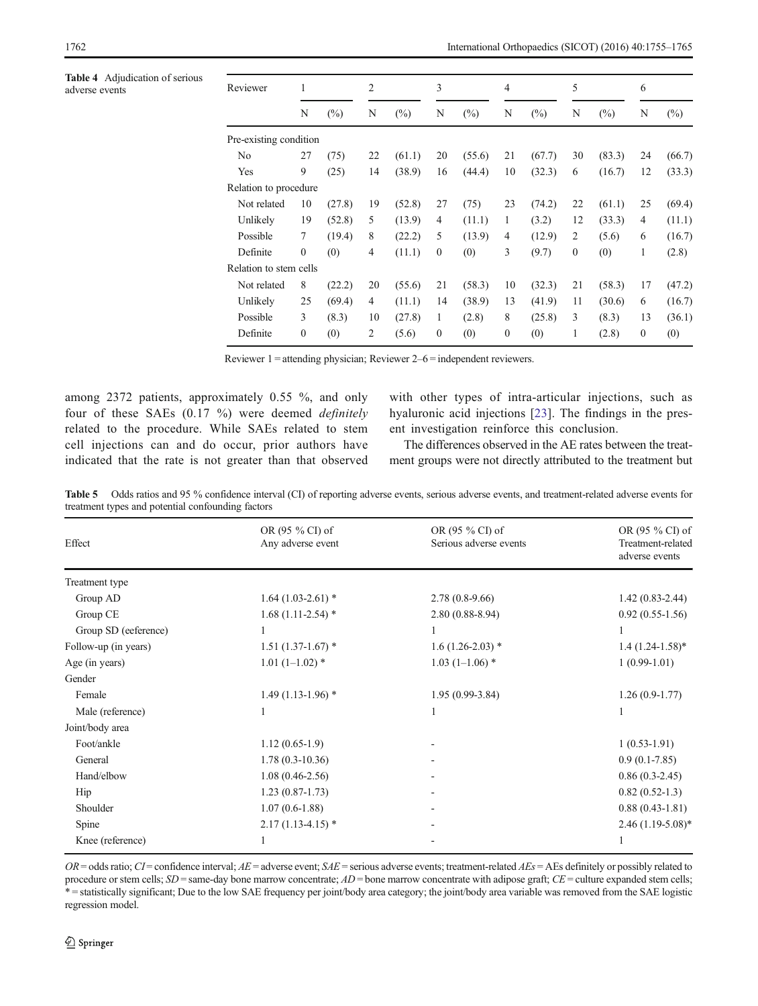Table 4 Adjudication of serious<br>adverse events

<span id="page-7-0"></span>

| <b>Table 4</b> Adjudication of serious<br>adverse events | Reviewer               |              |        | 2<br>3         |        | 4                |        | 5              |        | 6            |        |                |        |
|----------------------------------------------------------|------------------------|--------------|--------|----------------|--------|------------------|--------|----------------|--------|--------------|--------|----------------|--------|
|                                                          |                        |              |        |                |        |                  |        |                |        |              |        |                |        |
|                                                          |                        | N            | $(\%)$ | N              | $(\%)$ | N                | $(\%)$ | N              | $(\%)$ | N            | $(\%)$ | N              | $(\%)$ |
|                                                          | Pre-existing condition |              |        |                |        |                  |        |                |        |              |        |                |        |
|                                                          | No                     | 27           | (75)   | 22             | (61.1) | 20               | (55.6) | 21             | (67.7) | 30           | (83.3) | 24             | (66.7) |
|                                                          | Yes                    | 9            | (25)   | 14             | (38.9) | 16               | (44.4) | 10             | (32.3) | 6            | (16.7) | 12             | (33.3) |
|                                                          | Relation to procedure  |              |        |                |        |                  |        |                |        |              |        |                |        |
|                                                          | Not related            | 10           | (27.8) | 19             | (52.8) | 27               | (75)   | 23             | (74.2) | 22           | (61.1) | 25             | (69.4) |
|                                                          | Unlikely               | 19           | (52.8) | 5              | (13.9) | 4                | (11.1) | 1              | (3.2)  | 12           | (33.3) | 4              | (11.1) |
|                                                          | Possible               | 7            | (19.4) | 8              | (22.2) | 5                | (13.9) | $\overline{4}$ | (12.9) | 2            | (5.6)  | 6              | (16.7) |
|                                                          | Definite               | $\mathbf{0}$ | (0)    | $\overline{4}$ | (11.1) | $\mathbf{0}$     | (0)    | 3              | (9.7)  | $\mathbf{0}$ | (0)    |                | (2.8)  |
|                                                          | Relation to stem cells |              |        |                |        |                  |        |                |        |              |        |                |        |
|                                                          | Not related            | 8            | (22.2) | 20             | (55.6) | 21               | (58.3) | 10             | (32.3) | 21           | (58.3) | 17             | (47.2) |
|                                                          | Unlikely               | 25           | (69.4) | 4              | (11.1) | 14               | (38.9) | 13             | (41.9) | 11           | (30.6) | 6              | (16.7) |
|                                                          | Possible               | 3            | (8.3)  | 10             | (27.8) | 1                | (2.8)  | 8              | (25.8) | 3            | (8.3)  | 13             | (36.1) |
|                                                          | Definite               | $\mathbf{0}$ | (0)    | 2              | (5.6)  | $\boldsymbol{0}$ | (0)    | $\mathbf{0}$   | (0)    |              | (2.8)  | $\overline{0}$ | (0)    |
|                                                          |                        |              |        |                |        |                  |        |                |        |              |        |                |        |

Reviewer 1 = attending physician; Reviewer 2–6 = independent reviewers.

among 2372 patients, approximately 0.55 %, and only four of these SAEs  $(0.17 \%)$  were deemed *definitely* related to the procedure. While SAEs related to stem cell injections can and do occur, prior authors have indicated that the rate is not greater than that observed with other types of intra-articular injections, such as hyaluronic acid injections [\[23](#page-10-0)]. The findings in the present investigation reinforce this conclusion.

The differences observed in the AE rates between the treatment groups were not directly attributed to the treatment but

Table 5 Odds ratios and 95 % confidence interval (CI) of reporting adverse events, serious adverse events, and treatment-related adverse events for treatment types and potential confounding factors

| Effect               | OR (95 % CI) of<br>Any adverse event | OR (95 % CI) of<br>Serious adverse events | OR (95 % CI) of<br>Treatment-related<br>adverse events |
|----------------------|--------------------------------------|-------------------------------------------|--------------------------------------------------------|
| Treatment type       |                                      |                                           |                                                        |
| Group AD             | $1.64(1.03-2.61)$ *                  | $2.78(0.8-9.66)$                          | $1.42(0.83 - 2.44)$                                    |
| Group CE             | $1.68(1.11-2.54)$ *                  | $2.80(0.88-8.94)$                         | $0.92(0.55-1.56)$                                      |
| Group SD (eeference) |                                      |                                           | 1                                                      |
| Follow-up (in years) | $1.51(1.37-1.67)$ *                  | $1.6(1.26-2.03)$ *                        | $1.4(1.24-1.58)$ *                                     |
| Age (in years)       | $1.01(1-1.02)$ *                     | $1.03(1-1.06)$ *                          | $1(0.99-1.01)$                                         |
| Gender               |                                      |                                           |                                                        |
| Female               | $1.49(1.13-1.96)$ *                  | $1.95(0.99-3.84)$                         | $1.26(0.9-1.77)$                                       |
| Male (reference)     |                                      | 1                                         | 1                                                      |
| Joint/body area      |                                      |                                           |                                                        |
| Foot/ankle           | $1.12(0.65-1.9)$                     |                                           | $1(0.53-1.91)$                                         |
| General              | $1.78(0.3-10.36)$                    |                                           | $0.9(0.1-7.85)$                                        |
| Hand/elbow           | $1.08(0.46-2.56)$                    |                                           | $0.86(0.3-2.45)$                                       |
| Hip                  | $1.23(0.87-1.73)$                    |                                           | $0.82(0.52-1.3)$                                       |
| Shoulder             | $1.07(0.6-1.88)$                     |                                           | $0.88(0.43-1.81)$                                      |
| Spine                | $2.17(1.13-4.15)$ *                  |                                           | $2.46(1.19-5.08)*$                                     |
| Knee (reference)     |                                      |                                           |                                                        |

 $OR =$  odds ratio;  $CI =$  confidence interval;  $AE =$  adverse event;  $SAE =$  serious adverse events; treatment-related  $AE =$  AEs definitely or possibly related to procedure or stem cells;  $SD$  = same-day bone marrow concentrate;  $AD$  = bone marrow concentrate with adipose graft;  $CE$  = culture expanded stem cells; \* = statistically significant; Due to the low SAE frequency per joint/body area category; the joint/body area variable was removed from the SAE logistic regression model.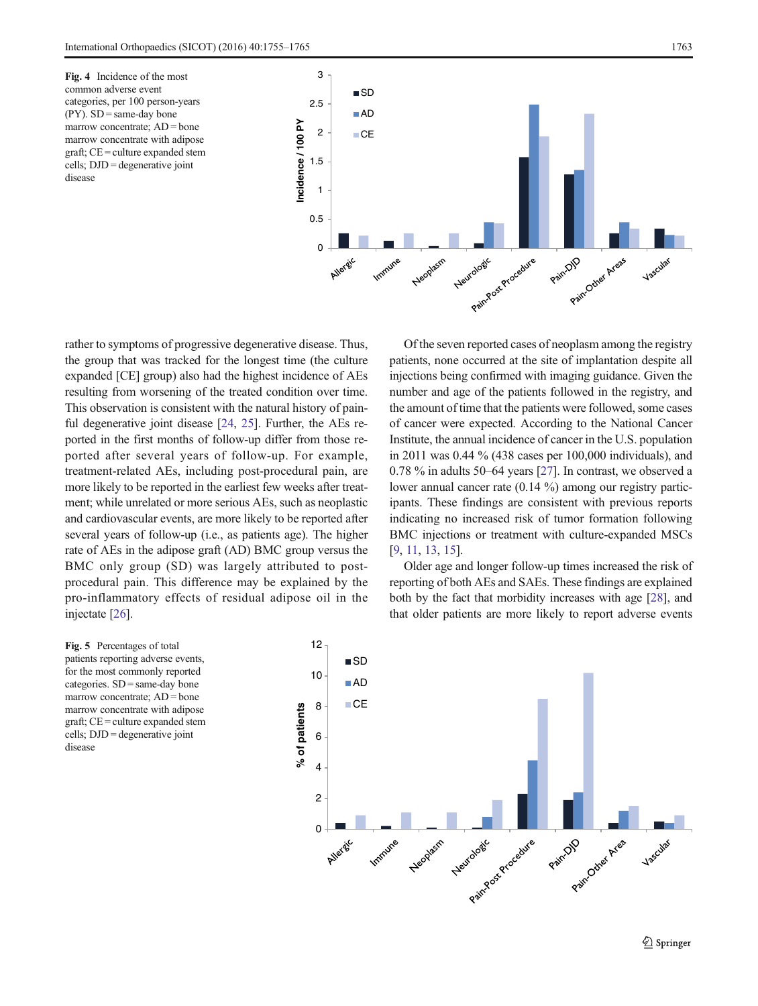<span id="page-8-0"></span>Fig. 4 Incidence of the most common adverse event categories, per 100 person-years  $(PY)$ . SD = same-day bone marrow concentrate;  $AD = bone$ marrow concentrate with adipose graft; CE = culture expanded stem cells; DJD = degenerative joint disease



rather to symptoms of progressive degenerative disease. Thus, the group that was tracked for the longest time (the culture expanded [CE] group) also had the highest incidence of AEs resulting from worsening of the treated condition over time. This observation is consistent with the natural history of painful degenerative joint disease [\[24,](#page-10-0) [25\]](#page-10-0). Further, the AEs reported in the first months of follow-up differ from those reported after several years of follow-up. For example, treatment-related AEs, including post-procedural pain, are more likely to be reported in the earliest few weeks after treatment; while unrelated or more serious AEs, such as neoplastic and cardiovascular events, are more likely to be reported after several years of follow-up (i.e., as patients age). The higher rate of AEs in the adipose graft (AD) BMC group versus the BMC only group (SD) was largely attributed to postprocedural pain. This difference may be explained by the pro-inflammatory effects of residual adipose oil in the injectate [\[26\]](#page-10-0).

Of the seven reported cases of neoplasm among the registry patients, none occurred at the site of implantation despite all injections being confirmed with imaging guidance. Given the number and age of the patients followed in the registry, and the amount of time that the patients were followed, some cases of cancer were expected. According to the National Cancer Institute, the annual incidence of cancer in the U.S. population in 2011 was 0.44 % (438 cases per 100,000 individuals), and 0.78 % in adults 50–64 years [[27\]](#page-10-0). In contrast, we observed a lower annual cancer rate (0.14 %) among our registry participants. These findings are consistent with previous reports indicating no increased risk of tumor formation following BMC injections or treatment with culture-expanded MSCs [\[9](#page-10-0), [11,](#page-10-0) [13,](#page-10-0) [15](#page-10-0)].

Older age and longer follow-up times increased the risk of reporting of both AEs and SAEs. These findings are explained both by the fact that morbidity increases with age [\[28](#page-10-0)], and that older patients are more likely to report adverse events



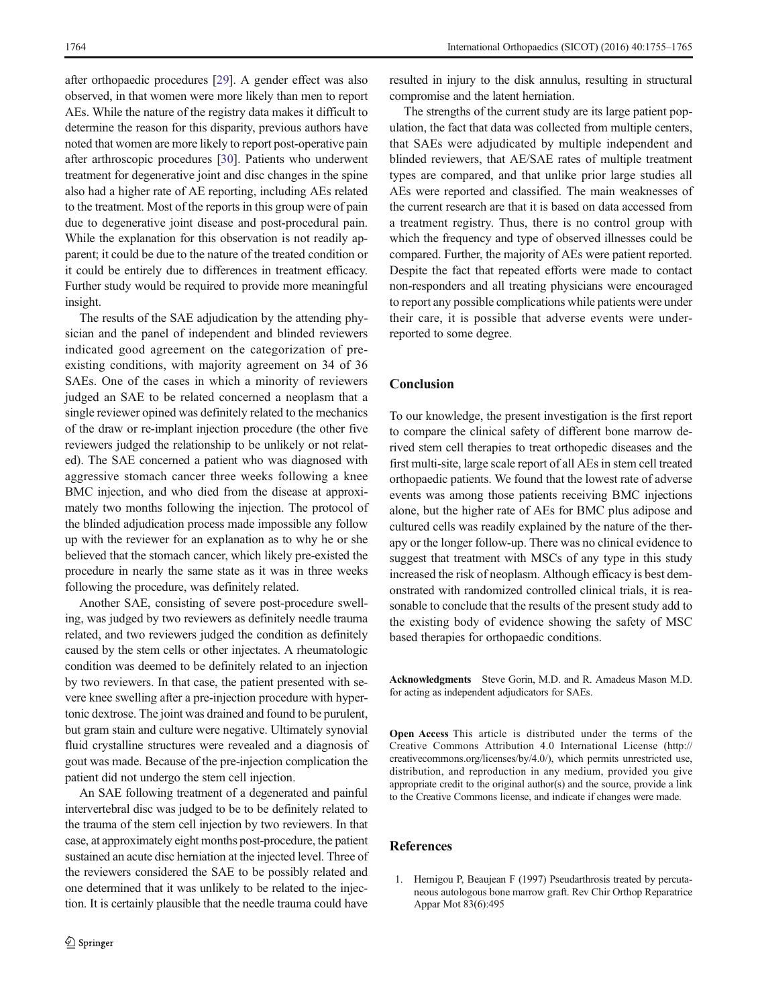<span id="page-9-0"></span>after orthopaedic procedures [\[29](#page-10-0)]. A gender effect was also observed, in that women were more likely than men to report AEs. While the nature of the registry data makes it difficult to determine the reason for this disparity, previous authors have noted that women are more likely to report post-operative pain after arthroscopic procedures [[30](#page-10-0)]. Patients who underwent treatment for degenerative joint and disc changes in the spine also had a higher rate of AE reporting, including AEs related to the treatment. Most of the reports in this group were of pain due to degenerative joint disease and post-procedural pain. While the explanation for this observation is not readily apparent; it could be due to the nature of the treated condition or it could be entirely due to differences in treatment efficacy. Further study would be required to provide more meaningful insight.

The results of the SAE adjudication by the attending physician and the panel of independent and blinded reviewers indicated good agreement on the categorization of preexisting conditions, with majority agreement on 34 of 36 SAEs. One of the cases in which a minority of reviewers judged an SAE to be related concerned a neoplasm that a single reviewer opined was definitely related to the mechanics of the draw or re-implant injection procedure (the other five reviewers judged the relationship to be unlikely or not related). The SAE concerned a patient who was diagnosed with aggressive stomach cancer three weeks following a knee BMC injection, and who died from the disease at approximately two months following the injection. The protocol of the blinded adjudication process made impossible any follow up with the reviewer for an explanation as to why he or she believed that the stomach cancer, which likely pre-existed the procedure in nearly the same state as it was in three weeks following the procedure, was definitely related.

Another SAE, consisting of severe post-procedure swelling, was judged by two reviewers as definitely needle trauma related, and two reviewers judged the condition as definitely caused by the stem cells or other injectates. A rheumatologic condition was deemed to be definitely related to an injection by two reviewers. In that case, the patient presented with severe knee swelling after a pre-injection procedure with hypertonic dextrose. The joint was drained and found to be purulent, but gram stain and culture were negative. Ultimately synovial fluid crystalline structures were revealed and a diagnosis of gout was made. Because of the pre-injection complication the patient did not undergo the stem cell injection.

An SAE following treatment of a degenerated and painful intervertebral disc was judged to be to be definitely related to the trauma of the stem cell injection by two reviewers. In that case, at approximately eight months post-procedure, the patient sustained an acute disc herniation at the injected level. Three of the reviewers considered the SAE to be possibly related and one determined that it was unlikely to be related to the injection. It is certainly plausible that the needle trauma could have

resulted in injury to the disk annulus, resulting in structural compromise and the latent herniation.

The strengths of the current study are its large patient population, the fact that data was collected from multiple centers, that SAEs were adjudicated by multiple independent and blinded reviewers, that AE/SAE rates of multiple treatment types are compared, and that unlike prior large studies all AEs were reported and classified. The main weaknesses of the current research are that it is based on data accessed from a treatment registry. Thus, there is no control group with which the frequency and type of observed illnesses could be compared. Further, the majority of AEs were patient reported. Despite the fact that repeated efforts were made to contact non-responders and all treating physicians were encouraged to report any possible complications while patients were under their care, it is possible that adverse events were underreported to some degree.

# Conclusion

To our knowledge, the present investigation is the first report to compare the clinical safety of different bone marrow derived stem cell therapies to treat orthopedic diseases and the first multi-site, large scale report of all AEs in stem cell treated orthopaedic patients. We found that the lowest rate of adverse events was among those patients receiving BMC injections alone, but the higher rate of AEs for BMC plus adipose and cultured cells was readily explained by the nature of the therapy or the longer follow-up. There was no clinical evidence to suggest that treatment with MSCs of any type in this study increased the risk of neoplasm. Although efficacy is best demonstrated with randomized controlled clinical trials, it is reasonable to conclude that the results of the present study add to the existing body of evidence showing the safety of MSC based therapies for orthopaedic conditions.

Acknowledgments Steve Gorin, M.D. and R. Amadeus Mason M.D. for acting as independent adjudicators for SAEs.

Open Access This article is distributed under the terms of the Creative Commons Attribution 4.0 International License (http:// creativecommons.org/licenses/by/4.0/), which permits unrestricted use, distribution, and reproduction in any medium, provided you give appropriate credit to the original author(s) and the source, provide a link to the Creative Commons license, and indicate if changes were made.

# References

1. Hernigou P, Beaujean F (1997) Pseudarthrosis treated by percutaneous autologous bone marrow graft. Rev Chir Orthop Reparatrice Appar Mot 83(6):495